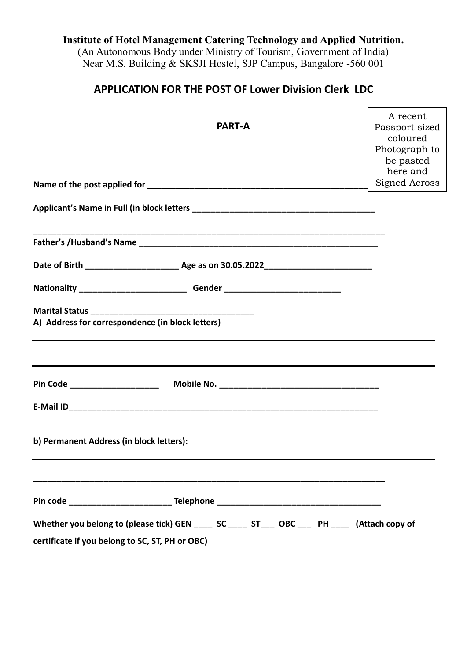# **Institute of Hotel Management Catering Technology and Applied Nutrition.**

(An Autonomous Body under Ministry of Tourism, Government of India) Near M.S. Building & SKSJI Hostel, SJP Campus, Bangalore -560 001

## **APPLICATION FOR THE POST OF Lower Division Clerk LDC**

 $\mathbf{r}$ 

| <b>PART-A</b>                                                                                                                                          | A recent<br>Passport sized<br>coloured<br>Photograph to<br>be pasted<br>here and |
|--------------------------------------------------------------------------------------------------------------------------------------------------------|----------------------------------------------------------------------------------|
|                                                                                                                                                        | Signed Across                                                                    |
|                                                                                                                                                        |                                                                                  |
|                                                                                                                                                        |                                                                                  |
|                                                                                                                                                        |                                                                                  |
|                                                                                                                                                        |                                                                                  |
|                                                                                                                                                        |                                                                                  |
| A) Address for correspondence (in block letters)                                                                                                       |                                                                                  |
|                                                                                                                                                        |                                                                                  |
| Pin Code _____________________                                                                                                                         |                                                                                  |
|                                                                                                                                                        |                                                                                  |
| b) Permanent Address (in block letters):                                                                                                               |                                                                                  |
|                                                                                                                                                        |                                                                                  |
| Whether you belong to (please tick) GEN _______ SC ______ ST_____ OBC ____ PH _____ (Attach copy of<br>certificate if you belong to SC, ST, PH or OBC) |                                                                                  |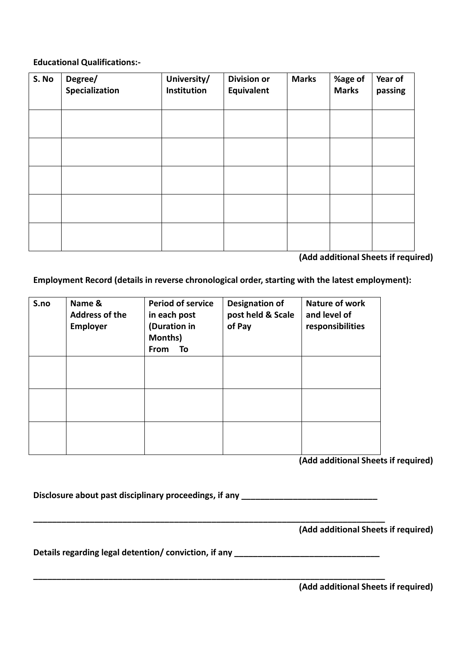#### **Educational Qualifications:-**

| S. No | Degree/<br>Specialization | University/<br>Institution | <b>Division or</b><br>Equivalent | <b>Marks</b> | %age of<br><b>Marks</b> | Year of<br>passing |
|-------|---------------------------|----------------------------|----------------------------------|--------------|-------------------------|--------------------|
|       |                           |                            |                                  |              |                         |                    |
|       |                           |                            |                                  |              |                         |                    |
|       |                           |                            |                                  |              |                         |                    |
|       |                           |                            |                                  |              |                         |                    |
|       |                           |                            |                                  |              |                         |                    |

**(Add additional Sheets if required)**

**Employment Record (details in reverse chronological order, starting with the latest employment):** 

| S.no | Name &<br><b>Address of the</b><br><b>Employer</b> | <b>Period of service</b><br>in each post<br>(Duration in<br>Months)<br>From<br>To | <b>Designation of</b><br>post held & Scale<br>of Pay | Nature of work<br>and level of<br>responsibilities |
|------|----------------------------------------------------|-----------------------------------------------------------------------------------|------------------------------------------------------|----------------------------------------------------|
|      |                                                    |                                                                                   |                                                      |                                                    |
|      |                                                    |                                                                                   |                                                      |                                                    |
|      |                                                    |                                                                                   |                                                      |                                                    |

**(Add additional Sheets if required)**

Disclosure about past disciplinary proceedings, if any \_\_\_\_\_\_\_\_\_\_\_\_\_\_\_\_\_\_\_\_\_\_\_\_\_\_

**\_\_\_\_\_\_\_\_\_\_\_\_\_\_\_\_\_\_\_\_\_\_\_\_\_\_\_\_\_\_\_\_\_\_\_\_\_\_\_\_\_\_\_\_\_\_\_\_\_\_\_\_\_\_\_\_\_\_\_\_\_\_\_\_\_\_\_\_\_\_\_\_\_\_\_**

**\_\_\_\_\_\_\_\_\_\_\_\_\_\_\_\_\_\_\_\_\_\_\_\_\_\_\_\_\_\_\_\_\_\_\_\_\_\_\_\_\_\_\_\_\_\_\_\_\_\_\_\_\_\_\_\_\_\_\_\_\_\_\_\_\_\_\_\_\_\_\_\_\_\_\_**

**(Add additional Sheets if required)**

Details regarding legal detention/ conviction, if any

**(Add additional Sheets if required)**